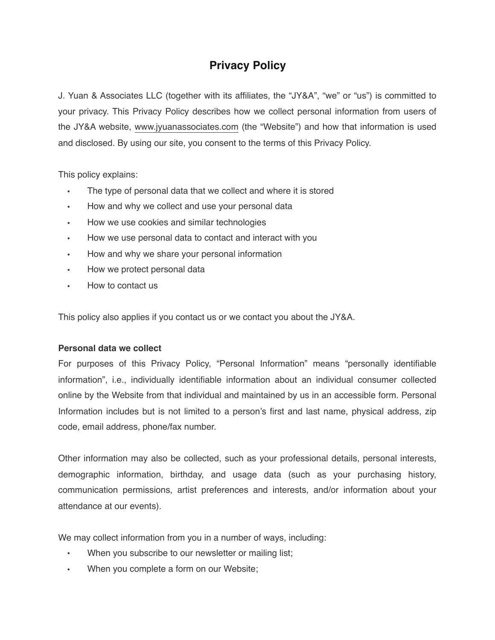# **Privacy Policy**

J. Yuan & Associates LLC (together with its affiliates, the "JY&A", "we" or "us") is committed to your privacy. This Privacy Policy describes how we collect personal information from users of the JY&A website, [www.jyuanassociates.com](https://www.jyuanassociates.com) (the "Website") and how that information is used and disclosed. By using our site, you consent to the terms of this Privacy Policy.

This policy explains:

- The type of personal data that we collect and where it is stored
- How and why we collect and use your personal data
- How we use cookies and similar technologies
- How we use personal data to contact and interact with you
- How and why we share your personal information
- How we protect personal data
- How to contact us

This policy also applies if you contact us or we contact you about the JY&A.

# **Personal data we collect**

For purposes of this Privacy Policy, "Personal Information" means "personally identifiable information", i.e., individually identifiable information about an individual consumer collected online by the Website from that individual and maintained by us in an accessible form. Personal Information includes but is not limited to a person's first and last name, physical address, zip code, email address, phone/fax number.

Other information may also be collected, such as your professional details, personal interests, demographic information, birthday, and usage data (such as your purchasing history, communication permissions, artist preferences and interests, and/or information about your attendance at our events).

We may collect information from you in a number of ways, including:

- When you subscribe to our newsletter or mailing list;
- When you complete a form on our Website;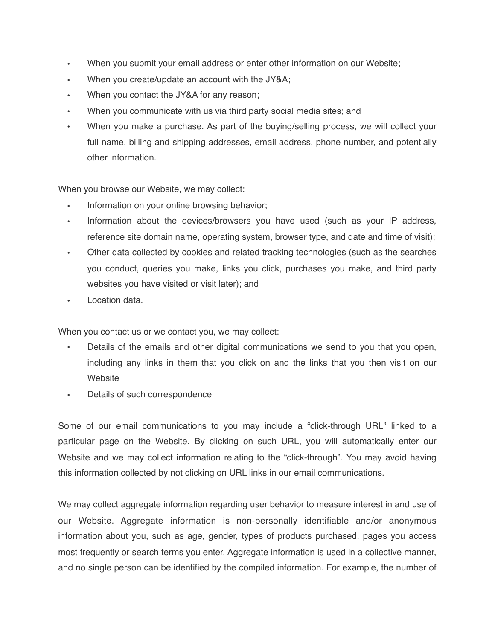- When you submit your email address or enter other information on our Website;
- When you create/update an account with the JY&A;
- When you contact the JY&A for any reason;
- When you communicate with us via third party social media sites; and
- When you make a purchase. As part of the buying/selling process, we will collect your full name, billing and shipping addresses, email address, phone number, and potentially other information.

When you browse our Website, we may collect:

- Information on your online browsing behavior:
- Information about the devices/browsers you have used (such as your IP address, reference site domain name, operating system, browser type, and date and time of visit);
- Other data collected by cookies and related tracking technologies (such as the searches you conduct, queries you make, links you click, purchases you make, and third party websites you have visited or visit later); and
- Location data.

When you contact us or we contact you, we may collect:

- Details of the emails and other digital communications we send to you that you open, including any links in them that you click on and the links that you then visit on our **Website**
- Details of such correspondence

Some of our email communications to you may include a "click-through URL" linked to a particular page on the Website. By clicking on such URL, you will automatically enter our Website and we may collect information relating to the "click-through". You may avoid having this information collected by not clicking on URL links in our email communications.

We may collect aggregate information regarding user behavior to measure interest in and use of our Website. Aggregate information is non-personally identifiable and/or anonymous information about you, such as age, gender, types of products purchased, pages you access most frequently or search terms you enter. Aggregate information is used in a collective manner, and no single person can be identified by the compiled information. For example, the number of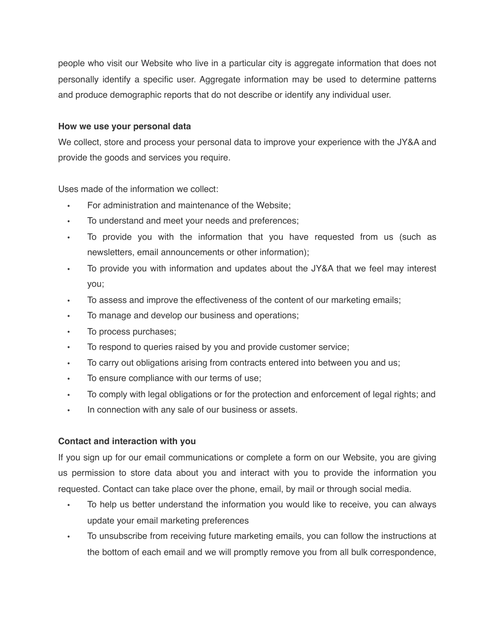people who visit our Website who live in a particular city is aggregate information that does not personally identify a specific user. Aggregate information may be used to determine patterns and produce demographic reports that do not describe or identify any individual user.

# **How we use your personal data**

We collect, store and process your personal data to improve your experience with the JY&A and provide the goods and services you require.

Uses made of the information we collect:

- For administration and maintenance of the Website;
- To understand and meet your needs and preferences;
- To provide you with the information that you have requested from us (such as newsletters, email announcements or other information);
- To provide you with information and updates about the JY&A that we feel may interest you;
- To assess and improve the effectiveness of the content of our marketing emails;
- To manage and develop our business and operations;
- To process purchases;
- To respond to queries raised by you and provide customer service;
- To carry out obligations arising from contracts entered into between you and us;
- To ensure compliance with our terms of use;
- To comply with legal obligations or for the protection and enforcement of legal rights; and
- In connection with any sale of our business or assets.

# **Contact and interaction with you**

If you sign up for our email communications or complete a form on our Website, you are giving us permission to store data about you and interact with you to provide the information you requested. Contact can take place over the phone, email, by mail or through social media.

- To help us better understand the information you would like to receive, you can always update your email marketing preferences
- To unsubscribe from receiving future marketing emails, you can follow the instructions at the bottom of each email and we will promptly remove you from all bulk correspondence,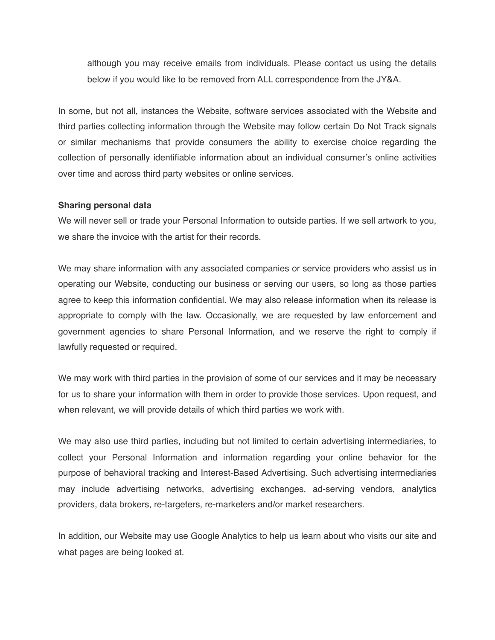although you may receive emails from individuals. Please contact us using the details below if you would like to be removed from ALL correspondence from the JY&A.

In some, but not all, instances the Website, software services associated with the Website and third parties collecting information through the Website may follow certain Do Not Track signals or similar mechanisms that provide consumers the ability to exercise choice regarding the collection of personally identifiable information about an individual consumer's online activities over time and across third party websites or online services.

### **Sharing personal data**

We will never sell or trade your Personal Information to outside parties. If we sell artwork to you, we share the invoice with the artist for their records.

We may share information with any associated companies or service providers who assist us in operating our Website, conducting our business or serving our users, so long as those parties agree to keep this information confidential. We may also release information when its release is appropriate to comply with the law. Occasionally, we are requested by law enforcement and government agencies to share Personal Information, and we reserve the right to comply if lawfully requested or required.

We may work with third parties in the provision of some of our services and it may be necessary for us to share your information with them in order to provide those services. Upon request, and when relevant, we will provide details of which third parties we work with.

We may also use third parties, including but not limited to certain advertising intermediaries, to collect your Personal Information and information regarding your online behavior for the purpose of behavioral tracking and Interest-Based Advertising. Such advertising intermediaries may include advertising networks, advertising exchanges, ad-serving vendors, analytics providers, data brokers, re-targeters, re-marketers and/or market researchers.

In addition, our Website may use Google Analytics to help us learn about who visits our site and what pages are being looked at.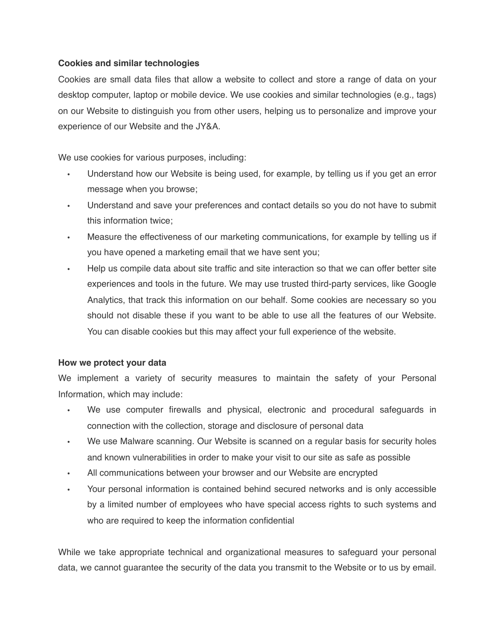# **Cookies and similar technologies**

Cookies are small data files that allow a website to collect and store a range of data on your desktop computer, laptop or mobile device. We use cookies and similar technologies (e.g., tags) on our Website to distinguish you from other users, helping us to personalize and improve your experience of our Website and the JY&A.

We use cookies for various purposes, including:

- Understand how our Website is being used, for example, by telling us if you get an error message when you browse;
- Understand and save your preferences and contact details so you do not have to submit this information twice;
- Measure the effectiveness of our marketing communications, for example by telling us if you have opened a marketing email that we have sent you;
- Help us compile data about site traffic and site interaction so that we can offer better site experiences and tools in the future. We may use trusted third-party services, like Google Analytics, that track this information on our behalf. Some cookies are necessary so you should not disable these if you want to be able to use all the features of our Website. You can disable cookies but this may affect your full experience of the website.

# **How we protect your data**

We implement a variety of security measures to maintain the safety of your Personal Information, which may include:

- We use computer firewalls and physical, electronic and procedural safeguards in connection with the collection, storage and disclosure of personal data
- We use Malware scanning. Our Website is scanned on a regular basis for security holes and known vulnerabilities in order to make your visit to our site as safe as possible
- All communications between your browser and our Website are encrypted
- Your personal information is contained behind secured networks and is only accessible by a limited number of employees who have special access rights to such systems and who are required to keep the information confidential

While we take appropriate technical and organizational measures to safeguard your personal data, we cannot guarantee the security of the data you transmit to the Website or to us by email.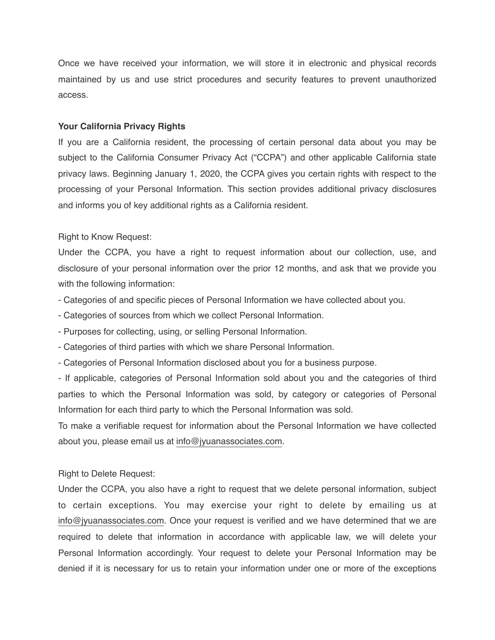Once we have received your information, we will store it in electronic and physical records maintained by us and use strict procedures and security features to prevent unauthorized access.

#### **Your California Privacy Rights**

If you are a California resident, the processing of certain personal data about you may be subject to the California Consumer Privacy Act ("CCPA") and other applicable California state privacy laws. Beginning January 1, 2020, the CCPA gives you certain rights with respect to the processing of your Personal Information. This section provides additional privacy disclosures and informs you of key additional rights as a California resident.

Right to Know Request:

Under the CCPA, you have a right to request information about our collection, use, and disclosure of your personal information over the prior 12 months, and ask that we provide you with the following information:

- Categories of and specific pieces of Personal Information we have collected about you.
- Categories of sources from which we collect Personal Information.
- Purposes for collecting, using, or selling Personal Information.
- Categories of third parties with which we share Personal Information.
- Categories of Personal Information disclosed about you for a business purpose.

- If applicable, categories of Personal Information sold about you and the categories of third parties to which the Personal Information was sold, by category or categories of Personal Information for each third party to which the Personal Information was sold.

To make a verifiable request for information about the Personal Information we have collected about you, please email us at [info@jyuanassociates.com](mailto:info@jyuanassociates.com?subject=CCPA%20-%20Personal%20Info%20Request).

Right to Delete Request:

Under the CCPA, you also have a right to request that we delete personal information, subject to certain exceptions. You may exercise your right to delete by emailing us at [info@jyuanassociates.com](mailto:info@jyuanassociates.com?subject=CCPA%20-%20Personal%20Info%20Request). Once your request is verified and we have determined that we are required to delete that information in accordance with applicable law, we will delete your Personal Information accordingly. Your request to delete your Personal Information may be denied if it is necessary for us to retain your information under one or more of the exceptions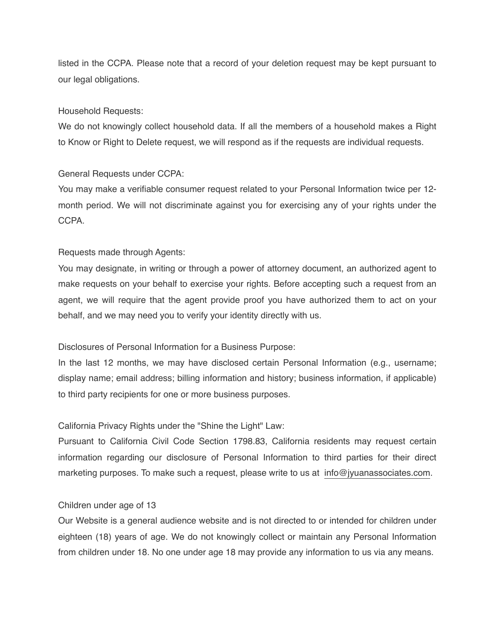listed in the CCPA. Please note that a record of your deletion request may be kept pursuant to our legal obligations.

#### Household Requests:

We do not knowingly collect household data. If all the members of a household makes a Right to Know or Right to Delete request, we will respond as if the requests are individual requests.

#### General Requests under CCPA:

You may make a verifiable consumer request related to your Personal Information twice per 12 month period. We will not discriminate against you for exercising any of your rights under the **CCPA** 

### Requests made through Agents:

You may designate, in writing or through a power of attorney document, an authorized agent to make requests on your behalf to exercise your rights. Before accepting such a request from an agent, we will require that the agent provide proof you have authorized them to act on your behalf, and we may need you to verify your identity directly with us.

#### Disclosures of Personal Information for a Business Purpose:

In the last 12 months, we may have disclosed certain Personal Information (e.g., username; display name; email address; billing information and history; business information, if applicable) to third party recipients for one or more business purposes.

#### California Privacy Rights under the "Shine the Light" Law:

Pursuant to California Civil Code Section 1798.83, California residents may request certain information regarding our disclosure of Personal Information to third parties for their direct marketing purposes. To make such a request, please write to us at [info@jyuanassociates.com](mailto:info@jyuanassociates.com?subject=CCPA%20-%20Personal%20Info%20Request).

#### Children under age of 13

Our Website is a general audience website and is not directed to or intended for children under eighteen (18) years of age. We do not knowingly collect or maintain any Personal Information from children under 18. No one under age 18 may provide any information to us via any means.